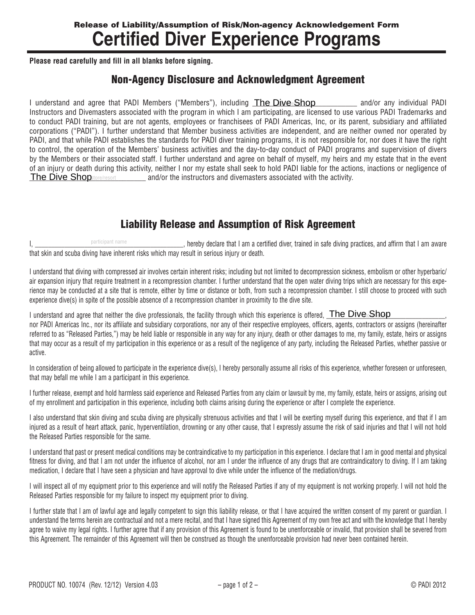## Release of Liability/Assumption of Risk/Non-agency Acknowledgement Form **Certified Diver Experience Programs**

**Please read carefully and fill in all blanks before signing.**

## Non-Agency Disclosure and Acknowledgment Agreement

I understand and agree that PADI Members ("Members"), including The Dive Shop entitled and/or any individual PADI Instructors and Divemasters associated with the program in which I am participating, are licensed to use various PADI Trademarks and to conduct PADI training, but are not agents, employees or franchisees of PADI Americas, Inc, or its parent, subsidiary and affiliated corporations ("PADI"). I further understand that Member business activities are independent, and are neither owned nor operated by PADI, and that while PADI establishes the standards for PADI diver training programs, it is not responsible for, nor does it have the right to control, the operation of the Members' business activities and the day-to-day conduct of PADI programs and supervision of divers by the Members or their associated staff. I further understand and agree on behalf of myself, my heirs and my estate that in the event of an injury or death during this activity, neither I nor my estate shall seek to hold PADI liable for the actions, inactions or negligence of The Dive Shopstore/resort and/or the instructors and divemasters associated with the activity.

## Liability Release and Assumption of Risk Agreement

I, \_\_\_\_\_\_\_\_\_\_\_\_\_\_\_\_\_\_\_\_\_\_\_\_\_\_\_\_\_\_\_\_\_\_\_\_\_\_\_\_\_\_\_\_\_, hereby declare that I am a certified diver, trained in safe diving practices, and affirm that I am aware that skin and scuba diving have inherent risks which may result in serious injury or death. participant name

I understand that diving with compressed air involves certain inherent risks; including but not limited to decompression sickness, embolism or other hyperbaric/ air expansion injury that require treatment in a recompression chamber. I further understand that the open water diving trips which are necessary for this experience may be conducted at a site that is remote, either by time or distance or both, from such a recompression chamber. I still choose to proceed with such experience dive(s) in spite of the possible absence of a recompression chamber in proximity to the dive site.

I understand and agree that neither the dive professionals, the facility through which this experience is offered,  $\overline{\text{The Dive\_Shop}}$ nor PADI Americas Inc., nor its affiliate and subsidiary corporations, nor any of their respective employees, officers, agents, contractors or assigns (hereinafter referred to as "Released Parties,") may be held liable or responsible in any way for any injury, death or other damages to me, my family, estate, heirs or assigns that may occur as a result of my participation in this experience or as a result of the negligence of any party, including the Released Parties, whether passive or active.

In consideration of being allowed to participate in the experience dive(s), I hereby personally assume all risks of this experience, whether foreseen or unforeseen, that may befall me while I am a participant in this experience.

I further release, exempt and hold harmless said experience and Released Parties from any claim or lawsuit by me, my family, estate, heirs or assigns, arising out of my enrollment and participation in this experience, including both claims arising during the experience or after I complete the experience.

I also understand that skin diving and scuba diving are physically strenuous activities and that I will be exerting myself during this experience, and that if I am injured as a result of heart attack, panic, hyperventilation, drowning or any other cause, that I expressly assume the risk of said injuries and that I will not hold the Released Parties responsible for the same.

I understand that past or present medical conditions may be contraindicative to my participation in this experience. I declare that I am in good mental and physical fitness for diving, and that I am not under the influence of alcohol, nor am I under the influence of any drugs that are contraindicatory to diving. If I am taking medication, I declare that I have seen a physician and have approval to dive while under the influence of the mediation/drugs.

I will inspect all of my equipment prior to this experience and will notify the Released Parties if any of my equipment is not working properly. I will not hold the Released Parties responsible for my failure to inspect my equipment prior to diving.

I further state that I am of lawful age and legally competent to sign this liability release, or that I have acquired the written consent of my parent or guardian. I understand the terms herein are contractual and not a mere recital, and that I have signed this Agreement of my own free act and with the knowledge that I hereby agree to waive my legal rights. I further agree that if any provision of this Agreement is found to be unenforceable or invalid, that provision shall be severed from this Agreement. The remainder of this Agreement will then be construed as though the unenforceable provision had never been contained herein.